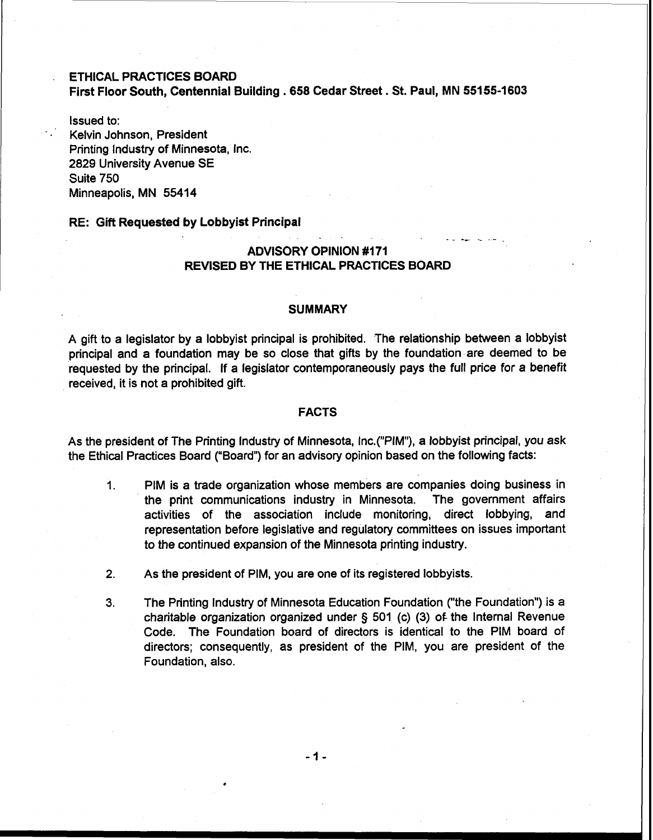# ETHICAL PRACTICES BOARD First Floor South, Centennial Building . **<sup>658</sup>**Cedar Street. **St.** Paul, MN **55155-1603**

Issued to: - Kelvin Johnson, President Printing Industry of Minnesota, Inc. 2829 University Avenue SE Suite 750 Minneapolis, MN **55414** 

#### RE: Gift Requested by Lobbyist Principal

# ADVISORY OPINION **#I71**  REVISED BY THE ETHICAL PRACTICES BOARD

-. - \_ \*- -\_ --

#### **SUMMARY**

A gift to a legislator by a lobbyist principal is prohibited. The relationship between a lobbyist principal and a foundation may be so close that gifts by the foundation are deemed to be requested by the principal. If a legislator contemporaneously pays the full price for a benefit received, it is not a prohibited gift.

### FACTS

As the president of The Printing Industry of Minnesota, Inc.("PIM"), a lobbyist principal, you ask the Ethical Practices Board ("Board") for an advisory opinion based on the following facts:

- 1. PIM is a trade organization whose members are companies doing business in the print communications industry in Minnesota. The government affairs activities of the association include monitoring, direct lobbying, and representation before legislative and regulatory committees on issues important to the continued expansion of the Minnesota printing industry.
- **2.** As the president of PIM, you are one of its registered lobbyists.
- 3. The Printing lndustry of Minnesota Education Foundation ("the Foundation") is a charitable organization organized under § 501 (c) (3) of the Internal Revenue Code. The Foundation board of directors is identical to the PIM board of directors; consequently, as president of the PIM, you are president of the Foundation, also.

 $-1-$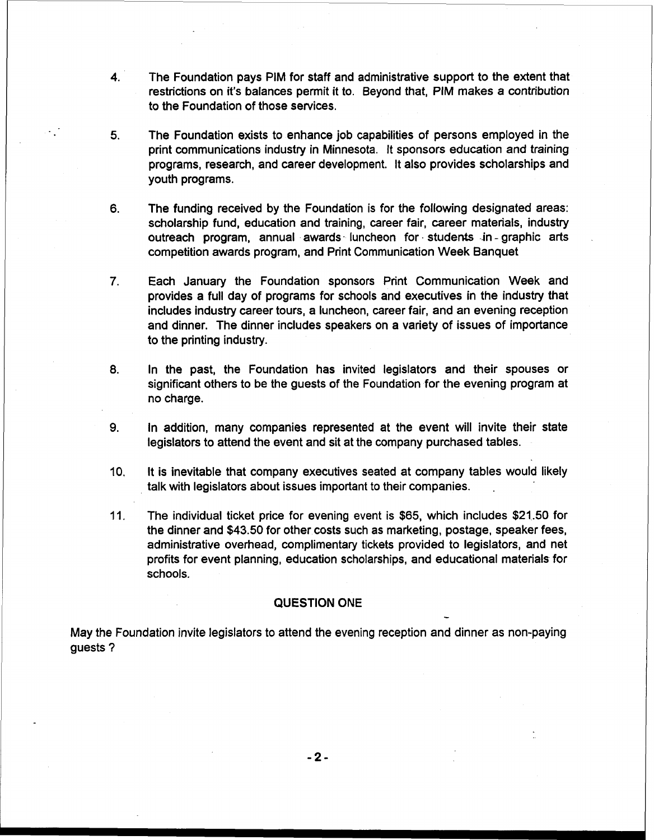- **4.** The Foundation pays PIM for staff and administrative support to the extent that restrictions on it's balances permit it to. Beyond that, PIM makes a contribution to the Foundation of those services.
- 5. The Foundation exists to enhance job capabilities of persons employed in the print communications industry in Minnesota. It sponsors education and training programs, research, and career development. It also provides scholarships and youth programs.
- 6. The funding received by the Foundation is for the following designated areas: scholarship fund, education and training, career fair, career materials, industry outreach program, annual awards. luncheon for - students in - graphic arts competition awards program, and Print Communication Week Banquet
- 7. Each January the Foundation sponsors Print Communication Week and provides a full day of programs for schools and executives in the industry that includes industry career tours, a luncheon, career fair, and an evening reception and dinner. The dinner includes speakers on a variety of issues of importance to the printing industry.
- 8. In the past, the Foundation has invited legislators and their spouses or significant others to be the guests of the Foundation for the evening program at no charge.
- **9.** In addition, many companies represented at the event will invite their state legislators to attend the event and sit at the company purchased tables.
- 10. It is inevitable that company executives seated at company tables would likely talk with legislators about issues important to their companies. .
- 11. The individual ticket price for evening event is \$65, which includes \$21.50 for the dinner and \$43.50 for other costs such as marketing, postage, speaker fees, administrative overhead, complimentary tickets provided to legislators, and net profits for event planning, education scholarships, and educational materials for schools.

-

## QUESTION ONE

May the Foundation invite legislators to attend the evening reception and dinner as non-paying guests ?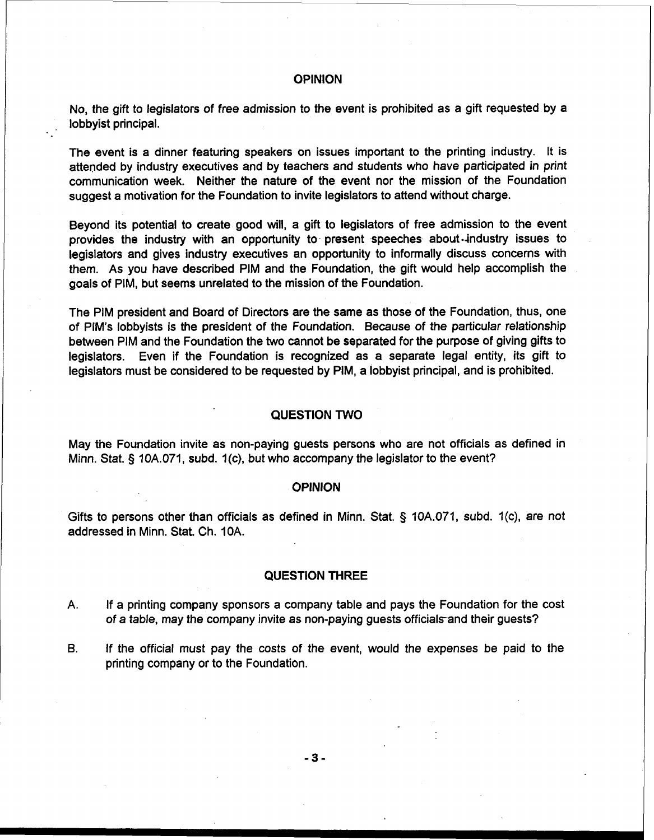## **OPINION**

No, the gift to legislators of free admission to the event is prohibited as a gift requested by a lobbyist principal.

The event is a dinner featuring speakers on issues important to the printing industry. It is attended by industry executives and by teachers and students who have participated in print communication week. Neither the nature of the event nor the mission of the Foundation suggest a motivation for the Foundation to invite legislators to attend without charge.

Beyond its potential to create good will, a gift to legislators of free admission to the event provides the industry with an opportunity to- present speeches about-industry issues to legislators and gives industry executives an opportunity to informally discuss concerns with them. As you have described PIM and the Foundation, the gift would help accomplish the goals of PIM, but seems unrelated to the mission of the Foundation.

The PIM president and Board of Directors are the same as those of the Foundation, thus, one of PIM's lobbyists is the president of the Foundation. Because of the particular relationship between PIM and the Foundation the two cannot be separated for the purpose of giving gifts to legislators. Even if the Foundation is recognized as a separate legal entity, its gift to legislators must be considered to be requested by PIM, a lobbyist principal, and is prohibited.

#### QUESTION TWO

May the Foundation invite as non-paying guests persons who are not officials as defined in Minn. Stat. **5** 10A.071, subd. 1 (c), but who accompany the legislator to the event?

#### **OPINION**

Gifts to persons other than officials as defined in Minn. Stat.  $\S$  10A.071, subd. 1(c), are not addressed in Minn. Stat. Ch. 10A.

#### QUESTION THREE

- A. If a printing company sponsors a company table and pays the Foundation for the cost of a table, may the company invite as non-paying guests officials and their guests?
- **6.** If the official must pay the costs of the event, would the expenses be paid to the printing company or to the Foundation.

 $-3-$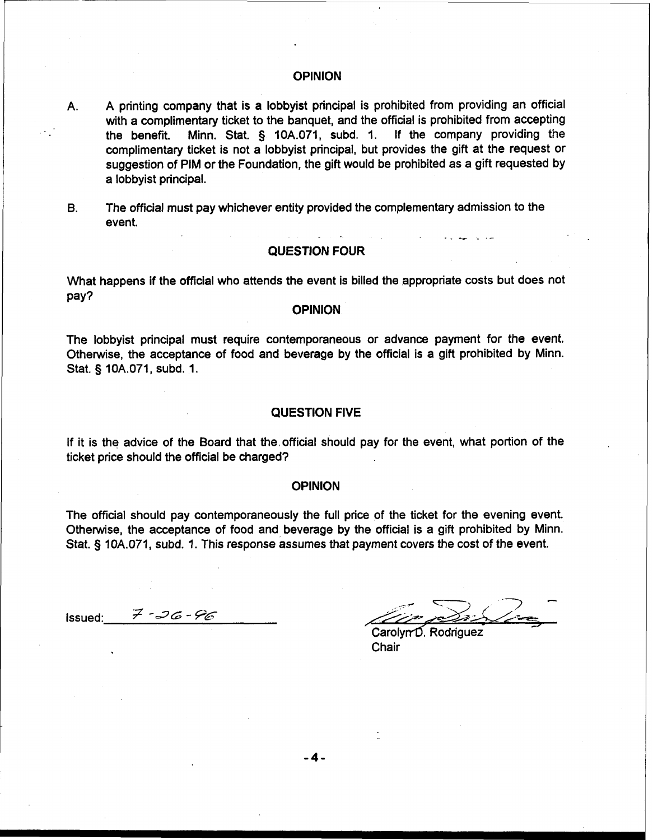### OPINION

- A. A printing company that is a lobbyist principal is prohibited from providing an official with a complimentary ticket to the banquet, and the official is prohibited from accepting<br>the benefit. Minn. Stat. § 10A.071, subd. 1. If the company providing the the benefit. Minn. Stat.  $\S$  10A.071, subd. 1. complimentary ticket is not a lobbyist principal, but provides the gift at the request or suggestion of PIM or the Foundation, the gift would be prohibited as a gift requested by a lobbyist principal.
- **B.** The official must pay whichever entity provided the complementary admission to the event. -. -- -- - -

### QUESTION FOUR

What happens if the official who attends the event is billed the appropriate costs but does not pay?

# **OPINION**

The lobbyist principal must require contemporaneous or advance payment for the event. Otherwise, the acceptance of food and beverage by the official is a gift prohibited by Minn. Stat. § 10A.071, subd. 1.

## QUESTION FIVE

If it is the advice of the Board that the,official should pay for the event, what portion of the ticket price should the official be charged?

#### **OPINION**

The official should pay contemporaneously the full price of the ticket for the evening event. Otherwise, the acceptance of food and beverage by the official is a gift prohibited by Minn. The official should pay contemporaneously the full pice of the licket for the evening even<br>Otherwise, the acceptance of food and beverage by the official is a gift prohibited by Min<br>Stat. § 10A.071, subd. 1. This response

Issued:  $7 - 36 - 96$ 

<--- -> , -7 - -. />>>! *&aAo/?-* -

Carolyn<sup>D</sup>. Rodriguez Chair

 $-4-$